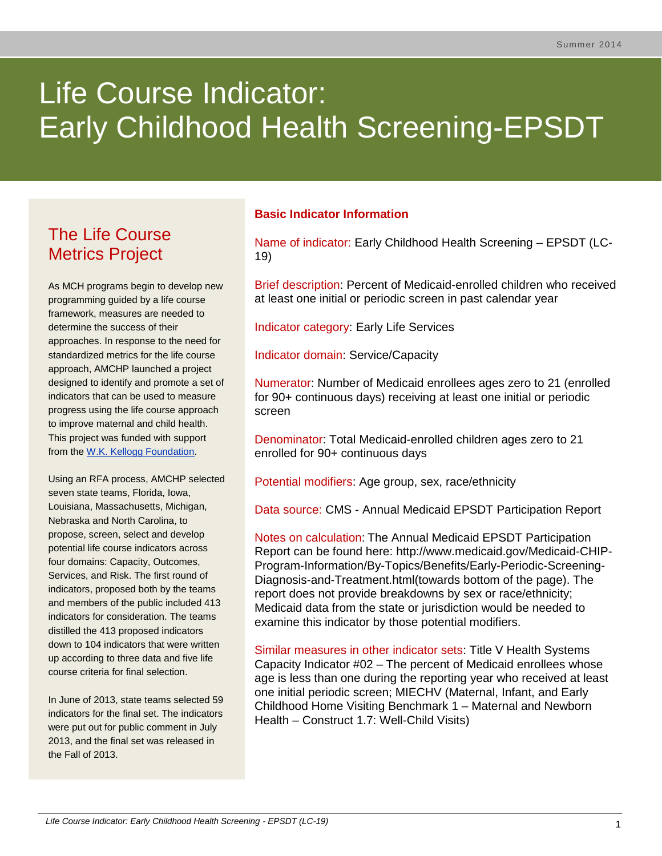# Life Course Indicator: Early Childhood Health Screening-EPSDT

# The Life Course Metrics Project

As MCH programs begin to develop new programming guided by a life course framework, measures are needed to determine the success of their approaches. In response to the need for standardized metrics for the life course approach, AMCHP launched a project designed to identify and promote a set of indicators that can be used to measure progress using the life course approach to improve maternal and child health. This project was funded with support from the [W.K. Kellogg Foundation.](http://www.wkkf.org/)

Using an RFA process, AMCHP selected seven state teams, Florida, Iowa, Louisiana, Massachusetts, Michigan, Nebraska and North Carolina, to propose, screen, select and develop potential life course indicators across four domains: Capacity, Outcomes, Services, and Risk. The first round of indicators, proposed both by the teams and members of the public included 413 indicators for consideration. The teams distilled the 413 proposed indicators down to 104 indicators that were written up according to three data and five life course criteria for final selection.

In June of 2013, state teams selected 59 indicators for the final set. The indicators were put out for public comment in July 2013, and the final set was released in the Fall of 2013.

# **Basic Indicator Information**

Name of indicator: Early Childhood Health Screening – EPSDT (LC-19)

Brief description: Percent of Medicaid-enrolled children who received at least one initial or periodic screen in past calendar year

Indicator category: Early Life Services

Indicator domain: Service/Capacity

Numerator: Number of Medicaid enrollees ages zero to 21 (enrolled for 90+ continuous days) receiving at least one initial or periodic screen

Denominator: Total Medicaid-enrolled children ages zero to 21 enrolled for 90+ continuous days

Potential modifiers: Age group, sex, race/ethnicity

Data source: CMS - Annual Medicaid EPSDT Participation Report

Notes on calculation: The Annual Medicaid EPSDT Participation Report can be found here: http://www.medicaid.gov/Medicaid-CHIP-Program-Information/By-Topics/Benefits/Early-Periodic-Screening-Diagnosis-and-Treatment.html(towards bottom of the page). The report does not provide breakdowns by sex or race/ethnicity; Medicaid data from the state or jurisdiction would be needed to examine this indicator by those potential modifiers.

Similar measures in other indicator sets: Title V Health Systems Capacity Indicator #02 – The percent of Medicaid enrollees whose age is less than one during the reporting year who received at least one initial periodic screen; MIECHV (Maternal, Infant, and Early Childhood Home Visiting Benchmark 1 – Maternal and Newborn Health – Construct 1.7: Well-Child Visits)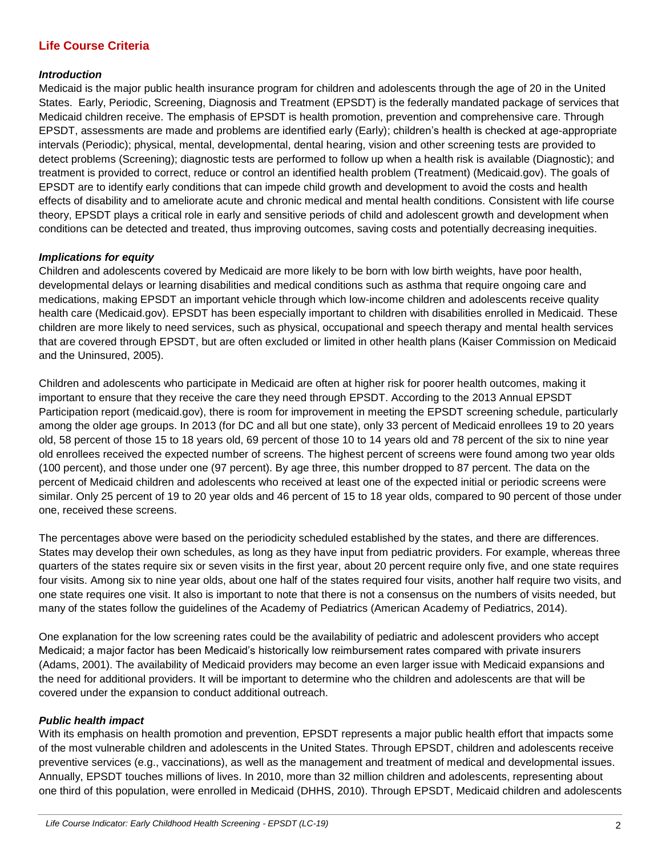# **Life Course Criteria**

#### *Introduction*

Medicaid is the major public health insurance program for children and adolescents through the age of 20 in the United States. Early, Periodic, Screening, Diagnosis and Treatment (EPSDT) is the federally mandated package of services that Medicaid children receive. The emphasis of EPSDT is health promotion, prevention and comprehensive care. Through EPSDT, assessments are made and problems are identified early (Early); children's health is checked at age-appropriate intervals (Periodic); physical, mental, developmental, dental hearing, vision and other screening tests are provided to detect problems (Screening); diagnostic tests are performed to follow up when a health risk is available (Diagnostic); and treatment is provided to correct, reduce or control an identified health problem (Treatment) (Medicaid.gov). The goals of EPSDT are to identify early conditions that can impede child growth and development to avoid the costs and health effects of disability and to ameliorate acute and chronic medical and mental health conditions. Consistent with life course theory, EPSDT plays a critical role in early and sensitive periods of child and adolescent growth and development when conditions can be detected and treated, thus improving outcomes, saving costs and potentially decreasing inequities.

#### *Implications for equity*

Children and adolescents covered by Medicaid are more likely to be born with low birth weights, have poor health, developmental delays or learning disabilities and medical conditions such as asthma that require ongoing care and medications, making EPSDT an important vehicle through which low-income children and adolescents receive quality health care (Medicaid.gov). EPSDT has been especially important to children with disabilities enrolled in Medicaid. These children are more likely to need services, such as physical, occupational and speech therapy and mental health services that are covered through EPSDT, but are often excluded or limited in other health plans (Kaiser Commission on Medicaid and the Uninsured, 2005).

Children and adolescents who participate in Medicaid are often at higher risk for poorer health outcomes, making it important to ensure that they receive the care they need through EPSDT. According to the 2013 Annual EPSDT Participation report (medicaid.gov), there is room for improvement in meeting the EPSDT screening schedule, particularly among the older age groups. In 2013 (for DC and all but one state), only 33 percent of Medicaid enrollees 19 to 20 years old, 58 percent of those 15 to 18 years old, 69 percent of those 10 to 14 years old and 78 percent of the six to nine year old enrollees received the expected number of screens. The highest percent of screens were found among two year olds (100 percent), and those under one (97 percent). By age three, this number dropped to 87 percent. The data on the percent of Medicaid children and adolescents who received at least one of the expected initial or periodic screens were similar. Only 25 percent of 19 to 20 year olds and 46 percent of 15 to 18 year olds, compared to 90 percent of those under one, received these screens.

The percentages above were based on the periodicity scheduled established by the states, and there are differences. States may develop their own schedules, as long as they have input from pediatric providers. For example, whereas three quarters of the states require six or seven visits in the first year, about 20 percent require only five, and one state requires four visits. Among six to nine year olds, about one half of the states required four visits, another half require two visits, and one state requires one visit. It also is important to note that there is not a consensus on the numbers of visits needed, but many of the states follow the guidelines of the Academy of Pediatrics (American Academy of Pediatrics, 2014).

One explanation for the low screening rates could be the availability of pediatric and adolescent providers who accept Medicaid; a major factor has been Medicaid's historically low reimbursement rates compared with private insurers (Adams, 2001). The availability of Medicaid providers may become an even larger issue with Medicaid expansions and the need for additional providers. It will be important to determine who the children and adolescents are that will be covered under the expansion to conduct additional outreach.

#### *Public health impact*

With its emphasis on health promotion and prevention, EPSDT represents a major public health effort that impacts some of the most vulnerable children and adolescents in the United States. Through EPSDT, children and adolescents receive preventive services (e.g., vaccinations), as well as the management and treatment of medical and developmental issues. Annually, EPSDT touches millions of lives. In 2010, more than 32 million children and adolescents, representing about one third of this population, were enrolled in Medicaid (DHHS, 2010). Through EPSDT, Medicaid children and adolescents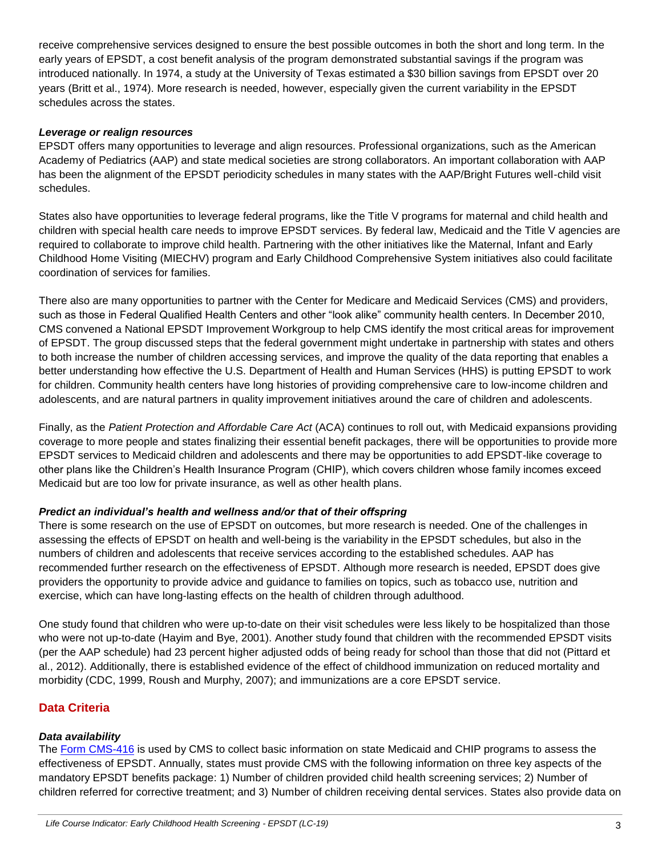receive comprehensive services designed to ensure the best possible outcomes in both the short and long term. In the early years of EPSDT, a cost benefit analysis of the program demonstrated substantial savings if the program was introduced nationally. In 1974, a study at the University of Texas estimated a \$30 billion savings from EPSDT over 20 years (Britt et al., 1974). More research is needed, however, especially given the current variability in the EPSDT schedules across the states.

#### *Leverage or realign resources*

EPSDT offers many opportunities to leverage and align resources. Professional organizations, such as the American Academy of Pediatrics (AAP) and state medical societies are strong collaborators. An important collaboration with AAP has been the alignment of the EPSDT periodicity schedules in many states with the AAP/Bright Futures well-child visit schedules.

States also have opportunities to leverage federal programs, like the Title V programs for maternal and child health and children with special health care needs to improve EPSDT services. By federal law, Medicaid and the Title V agencies are required to collaborate to improve child health. Partnering with the other initiatives like the Maternal, Infant and Early Childhood Home Visiting (MIECHV) program and Early Childhood Comprehensive System initiatives also could facilitate coordination of services for families.

There also are many opportunities to partner with the Center for Medicare and Medicaid Services (CMS) and providers, such as those in Federal Qualified Health Centers and other "look alike" community health centers. In December 2010, CMS convened a National EPSDT Improvement Workgroup to help CMS identify the most critical areas for improvement of EPSDT. The group discussed steps that the federal government might undertake in partnership with states and others to both increase the number of children accessing services, and improve the quality of the data reporting that enables a better understanding how effective the U.S. Department of Health and Human Services (HHS) is putting EPSDT to work for children. Community health centers have long histories of providing comprehensive care to low-income children and adolescents, and are natural partners in quality improvement initiatives around the care of children and adolescents.

Finally, as the *Patient Protection and Affordable Care Act* (ACA) continues to roll out, with Medicaid expansions providing coverage to more people and states finalizing their essential benefit packages, there will be opportunities to provide more EPSDT services to Medicaid children and adolescents and there may be opportunities to add EPSDT-like coverage to other plans like the Children's Health Insurance Program (CHIP), which covers children whose family incomes exceed Medicaid but are too low for private insurance, as well as other health plans.

## *Predict an individual's health and wellness and/or that of their offspring*

There is some research on the use of EPSDT on outcomes, but more research is needed. One of the challenges in assessing the effects of EPSDT on health and well-being is the variability in the EPSDT schedules, but also in the numbers of children and adolescents that receive services according to the established schedules. AAP has recommended further research on the effectiveness of EPSDT. Although more research is needed, EPSDT does give providers the opportunity to provide advice and guidance to families on topics, such as tobacco use, nutrition and exercise, which can have long-lasting effects on the health of children through adulthood.

One study found that children who were up-to-date on their visit schedules were less likely to be hospitalized than those who were not up-to-date (Hayim and Bye, 2001). Another study found that children with the recommended EPSDT visits (per the AAP schedule) had 23 percent higher adjusted odds of being ready for school than those that did not (Pittard et al., 2012). Additionally, there is established evidence of the effect of childhood immunization on reduced mortality and morbidity (CDC, 1999, Roush and Murphy, 2007); and immunizations are a core EPSDT service.

# **Data Criteria**

## *Data availability*

The [Form CMS-416](http://www.medicaid.gov/Medicaid-CHIP-Program-Information/By-Topics/Benefits/Downloads/Form-416.zip) is used by CMS to collect basic information on state Medicaid and CHIP programs to assess the effectiveness of EPSDT. Annually, states must provide CMS with the following information on three key aspects of the mandatory EPSDT benefits package: 1) Number of children provided child health screening services; 2) Number of children referred for corrective treatment; and 3) Number of children receiving dental services. States also provide data on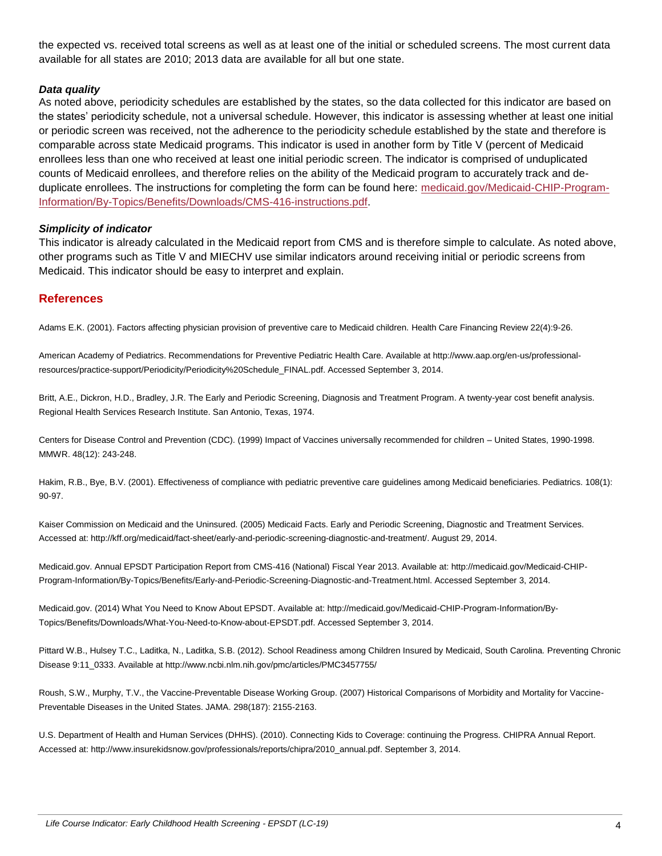the expected vs. received total screens as well as at least one of the initial or scheduled screens. The most current data available for all states are 2010; 2013 data are available for all but one state.

#### *Data quality*

As noted above, periodicity schedules are established by the states, so the data collected for this indicator are based on the states' periodicity schedule, not a universal schedule. However, this indicator is assessing whether at least one initial or periodic screen was received, not the adherence to the periodicity schedule established by the state and therefore is comparable across state Medicaid programs. This indicator is used in another form by Title V (percent of Medicaid enrollees less than one who received at least one initial periodic screen. The indicator is comprised of unduplicated counts of Medicaid enrollees, and therefore relies on the ability of the Medicaid program to accurately track and deduplicate enrollees. The instructions for completing the form can be found here: [medicaid.gov/Medicaid-CHIP-Program-](http://www.medicaid.gov/Medicaid-CHIP-Program-Information/By-Topics/Benefits/Downloads/CMS-416-instructions.pdf)[Information/By-Topics/Benefits/Downloads/CMS-416-instructions.pdf.](http://www.medicaid.gov/Medicaid-CHIP-Program-Information/By-Topics/Benefits/Downloads/CMS-416-instructions.pdf)

#### *Simplicity of indicator*

This indicator is already calculated in the Medicaid report from CMS and is therefore simple to calculate. As noted above, other programs such as Title V and MIECHV use similar indicators around receiving initial or periodic screens from Medicaid. This indicator should be easy to interpret and explain.

#### **References**

Adams E.K. (2001). Factors affecting physician provision of preventive care to Medicaid children. Health Care Financing Review 22(4):9-26.

American Academy of Pediatrics. Recommendations for Preventive Pediatric Health Care. Available at http://www.aap.org/en-us/professionalresources/practice-support/Periodicity/Periodicity%20Schedule\_FINAL.pdf. Accessed September 3, 2014.

Britt, A.E., Dickron, H.D., Bradley, J.R. The Early and Periodic Screening, Diagnosis and Treatment Program. A twenty-year cost benefit analysis. Regional Health Services Research Institute. San Antonio, Texas, 1974.

Centers for Disease Control and Prevention (CDC). (1999) Impact of Vaccines universally recommended for children – United States, 1990-1998. MMWR. 48(12): 243-248.

Hakim, R.B., Bye, B.V. (2001). Effectiveness of compliance with pediatric preventive care guidelines among Medicaid beneficiaries. Pediatrics. 108(1): 90-97.

Kaiser Commission on Medicaid and the Uninsured. (2005) Medicaid Facts. Early and Periodic Screening, Diagnostic and Treatment Services. Accessed at: http://kff.org/medicaid/fact-sheet/early-and-periodic-screening-diagnostic-and-treatment/. August 29, 2014.

Medicaid.gov. Annual EPSDT Participation Report from CMS-416 (National) Fiscal Year 2013. Available at: http://medicaid.gov/Medicaid-CHIP-Program-Information/By-Topics/Benefits/Early-and-Periodic-Screening-Diagnostic-and-Treatment.html. Accessed September 3, 2014.

Medicaid.gov. (2014) What You Need to Know About EPSDT. Available at: http://medicaid.gov/Medicaid-CHIP-Program-Information/By-Topics/Benefits/Downloads/What-You-Need-to-Know-about-EPSDT.pdf. Accessed September 3, 2014.

Pittard W.B., Hulsey T.C., Laditka, N., Laditka, S.B. (2012). School Readiness among Children Insured by Medicaid, South Carolina. Preventing Chronic Disease 9:11\_0333. Available at http://www.ncbi.nlm.nih.gov/pmc/articles/PMC3457755/

Roush, S.W., Murphy, T.V., the Vaccine-Preventable Disease Working Group. (2007) Historical Comparisons of Morbidity and Mortality for Vaccine-Preventable Diseases in the United States. JAMA. 298(187): 2155-2163.

U.S. Department of Health and Human Services (DHHS). (2010). Connecting Kids to Coverage: continuing the Progress. CHIPRA Annual Report. Accessed at: http://www.insurekidsnow.gov/professionals/reports/chipra/2010\_annual.pdf. September 3, 2014.